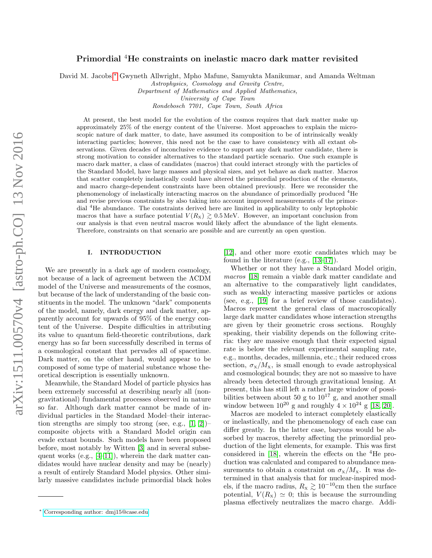# Primordial <sup>4</sup>He constraints on inelastic macro dark matter revisited

David M. Jacobs,[∗](#page-0-0) Gwyneth Allwright, Mpho Mafune, Samyukta Manikumar, and Amanda Weltman

Astrophysics, Cosmology and Gravity Centre,

Department of Mathematics and Applied Mathematics,

University of Cape Town

Rondebosch 7701, Cape Town, South Africa

At present, the best model for the evolution of the cosmos requires that dark matter make up approximately 25% of the energy content of the Universe. Most approaches to explain the microscopic nature of dark matter, to date, have assumed its composition to be of intrinsically weakly interacting particles; however, this need not be the case to have consistency with all extant observations. Given decades of inconclusive evidence to support any dark matter candidate, there is strong motivation to consider alternatives to the standard particle scenario. One such example is macro dark matter, a class of candidates (macros) that could interact strongly with the particles of the Standard Model, have large masses and physical sizes, and yet behave as dark matter. Macros that scatter completely inelastically could have altered the primordial production of the elements, and macro charge-dependent constraints have been obtained previously. Here we reconsider the phenomenology of inelastically interacting macros on the abundance of primordially produced <sup>4</sup>He and revise previous constraints by also taking into account improved measurements of the primordial <sup>4</sup>He abundance. The constraints derived here are limited in applicability to only leptophobic macros that have a surface potential  $V(R_{\rm x}) \gtrsim 0.5 \,\text{MeV}$ . However, an important conclusion from our analysis is that even neutral macros would likely affect the abundance of the light elements. Therefore, constraints on that scenario are possible and are currently an open question.

# I. INTRODUCTION

We are presently in a dark age of modern cosmology, not because of a lack of agreement between the ΛCDM model of the Universe and measurements of the cosmos, but because of the lack of understanding of the basic constituents in the model. The unknown "dark" components of the model, namely, dark energy and dark matter, apparently account for upwards of 95% of the energy content of the Universe. Despite difficulties in attributing its value to quantum field-theoretic contributions, dark energy has so far been successfully described in terms of a cosmological constant that pervades all of spacetime. Dark matter, on the other hand, would appear to be composed of some type of material substance whose theoretical description is essentially unknown.

Meanwhile, the Standard Model of particle physics has been extremely successful at describing nearly all (nongravitational) fundamental processes observed in nature so far. Although dark matter cannot be made of individual particles in the Standard Model–their interaction strengths are simply too strong (see, e.g.,  $[1, 2]$  $[1, 2]$ )– composite objects with a Standard Model origin can evade extant bounds. Such models have been proposed before, most notably by Witten [\[3\]](#page-5-2) and in several subsequent works (e.g., [\[4–](#page-5-3)[11\]](#page-5-4)), wherein the dark matter candidates would have nuclear density and may be (nearly) a result of entirely Standard Model physics. Other similarly massive candidates include primordial black holes

[\[12\]](#page-5-5), and other more exotic candidates which may be found in the literature (e.g., [\[13–](#page-5-6)[17\]](#page-5-7)).

Whether or not they have a Standard Model origin, macros [\[18\]](#page-5-8) remain a viable dark matter candidate and an alternative to the comparatively light candidates, such as weakly interacting massive particles or axions (see, e.g., [\[19\]](#page-5-9) for a brief review of those candidates). Macros represent the general class of macroscopically large dark matter candidates whose interaction strengths are given by their geometric cross sections. Roughly speaking, their viability depends on the following criteria: they are massive enough that their expected signal rate is below the relevant experimental sampling rate, e.g., months, decades, millennia, etc.; their reduced cross section,  $\sigma_{\rm x}/M_{\rm x}$ , is small enough to evade astrophysical and cosmological bounds; they are not so massive to have already been detected through gravitational lensing. At present, this has still left a rather large window of possibilities between about 50 g to  $10^{17}$  g, and another small window between  $10^{20}$  g and roughly  $4 \times 10^{24}$  g [\[18,](#page-5-8) [20\]](#page-5-10).

Macros are modeled to interact completely elastically or inelastically, and the phenomenology of each case can differ greatly. In the latter case, baryons would be absorbed by macros, thereby affecting the primordial production of the light elements, for example. This was first considered in [\[18\]](#page-5-8), wherein the effects on the <sup>4</sup>He production was calculated and compared to abundance measurements to obtain a constraint on  $\sigma_{\rm x}/M_{\rm x}$ . It was determined in that analysis that for nuclear-inspired models, if the macro radius,  $R_{\rm x} \gtrsim 10^{-10}$ cm then the surface potential,  $V(R_{\rm x}) \simeq 0$ ; this is because the surrounding plasma effectively neutralizes the macro charge. Addi-

<span id="page-0-0"></span><sup>∗</sup> [Corresponding author: dmj15@case.edu](mailto:Corresponding author: dmj15@case.edu)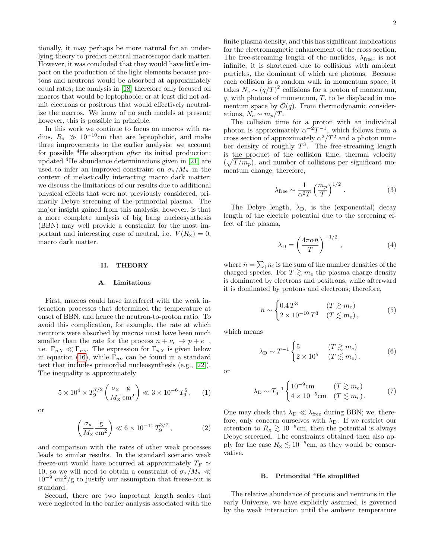tionally, it may perhaps be more natural for an underlying theory to predict neutral macroscopic dark matter. However, it was concluded that they would have little impact on the production of the light elements because protons and neutrons would be absorbed at approximately equal rates; the analysis in [\[18\]](#page-5-8) therefore only focused on macros that would be leptophobic, or at least did not admit electrons or positrons that would effectively neutralize the macros. We know of no such models at present; however, this is possible in principle.

In this work we continue to focus on macros with radius,  $R_{\rm x} \gg 10^{-10}$ cm that are leptophobic, and make three improvements to the earlier analysis: we account for possible  ${}^{4}$ He absorption *after* its initial production; updated <sup>4</sup>He abundance determinations given in [\[21\]](#page-5-11) are used to infer an improved constraint on  $\sigma_{\rm x}/M_{\rm x}$  in the context of inelastically interacting macro dark matter; we discuss the limitations of our results due to additional physical effects that were not previously considered, primarily Debye screening of the primordial plasma. The major insight gained from this analysis, however, is that a more complete analysis of big bang nucleosynthesis (BBN) may well provide a constraint for the most important and interesting case of neutral, i.e.  $V(R_x) = 0$ , macro dark matter.

#### II. THEORY

# A. Limitations

First, macros could have interfered with the weak interaction processes that determined the temperature at onset of BBN, and hence the neutron-to-proton ratio. To avoid this complication, for example, the rate at which neutrons were absorbed by macros must have been much smaller than the rate for the process  $n + \nu_e \rightarrow p + e^-$ , i.e.  $\Gamma_{nX} \ll \Gamma_{n\nu}$ . The expression for  $\Gamma_{nX}$  is given below in equation [\(16\)](#page-2-0), while  $\Gamma_{n\nu}$  can be found in a standard text that includes primordial nucleosynthesis (e.g., [\[22\]](#page-5-12)). The inequality is approximately

$$
5 \times 10^4 \times T_9^{7/2} \left( \frac{\sigma_{\rm x}}{M_{\rm x}} \frac{\rm g}{\rm cm^2} \right) \ll 3 \times 10^{-6} T_9^5
$$
, (1)

or

$$
\left(\frac{\sigma_{\rm x}}{M_{\rm x}}\frac{\rm g}{\rm cm^2}\right) \ll 6 \times 10^{-11} \, T_9^{3/2} \,,\tag{2}
$$

and comparison with the rates of other weak processes leads to similar results. In the standard scenario weak freeze-out would have occurred at approximately  $T_F \simeq$ 10, so we will need to obtain a constraint of  $\sigma_{\rm x}/M_{\rm x} \ll$  $10^{-9}$  cm<sup>2</sup>/g to justify our assumption that freeze-out is standard.

Second, there are two important length scales that were neglected in the earlier analysis associated with the

finite plasma density, and this has significant implications for the electromagnetic enhancement of the cross section. The free-streaming length of the nuclides,  $\lambda_{\text{free}}$ , is not infinite; it is shortened due to collisions with ambient particles, the dominant of which are photons. Because each collision is a random walk in momentum space, it takes  $N_c \sim (q/T)^2$  collisions for a proton of momentum,  $q$ , with photons of momentum,  $T$ , to be displaced in momentum space by  $\mathcal{O}(q)$ . From thermodynamic considerations,  $N_c \sim m_p/T$ .

The collision time for a proton with an individual photon is approximately  $\alpha^{-2}T^{-1}$ , which follows from a cross section of approximately  $\alpha^2/T^2$  and a photon number density of roughly  $T^3$ . The free-streaming length is the product of the collision time, thermal velocity  $(\sqrt{T / m_p})$ , and number of collisions per significant momentum change; therefore,

$$
\lambda_{\text{free}} \sim \frac{1}{\alpha^2 T} \left(\frac{m_p}{T}\right)^{1/2} . \tag{3}
$$

The Debye length,  $\lambda_D$ , is the (exponential) decay length of the electric potential due to the screening effect of the plasma,

$$
\lambda_{\rm D} = \left(\frac{4\pi\alpha\bar{n}}{T}\right)^{-1/2},\tag{4}
$$

where  $\bar{n} = \sum_i n_i$  is the sum of the number densities of the charged species. For  $T \gtrsim m_e$  the plasma charge density is dominated by electrons and positrons, while afterward it is dominated by protons and electrons; therefore,

$$
\bar{n} \sim \begin{cases} 0.4\,T^3 & (T \gtrsim m_e) \\ 2 \times 10^{-10}\,T^3 & (T \lesssim m_e) \end{cases} \tag{5}
$$

which means

$$
\lambda_{\rm D} \sim T^{-1} \begin{cases} 5 & (T \gtrsim m_e) \\ 2 \times 10^5 & (T \lesssim m_e). \end{cases}
$$
 (6)

or

$$
\lambda_{\rm D} \sim T_9^{-1} \begin{cases}\n10^{-9} \text{cm} & (T \gtrsim m_e) \\
4 \times 10^{-5} \text{cm} & (T \lesssim m_e).\n\end{cases}
$$
\n(7)

One may check that  $\lambda_{\text{D}} \ll \lambda_{\text{free}}$  during BBN; we, therefore, only concern ourselves with  $\lambda_{D}$ . If we restrict our attention to  $R_{\rm x} \gtrsim 10^{-5}$ cm, then the potential is always Debye screened. The constraints obtained then also apply for the case  $R_{\rm x} \lesssim 10^{-5}$ cm, as they would be conservative.

# B. Primordial  ${}^{4}$ He simplified

The relative abundance of protons and neutrons in the early Universe, we have explicitly assumed, is governed by the weak interaction until the ambient temperature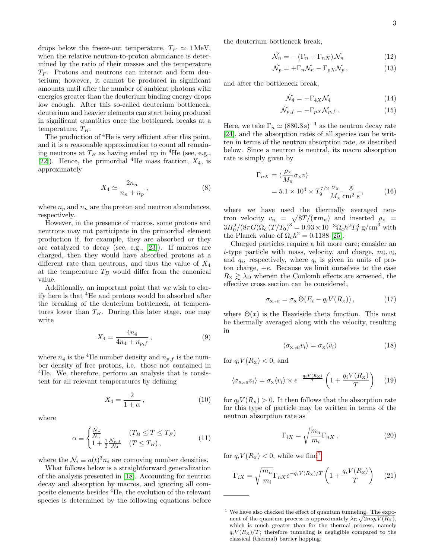drops below the freeze-out temperature,  $T_F \simeq 1 \,\text{MeV}$ , when the relative neutron-to-proton abundance is determined by the ratio of their masses and the temperature  $T_F$ . Protons and neutrons can interact and form deuterium; however, it cannot be produced in significant amounts until after the number of ambient photons with energies greater than the deuterium binding energy drops low enough. After this so-called deuterium bottleneck, deuterium and heavier elements can start being produced in significant quantities once the bottleneck breaks at a temperature,  $T_B$ .

The production of <sup>4</sup>He is very efficient after this point, and it is a reasonable approximation to count all remaining neutrons at  $T_B$  as having ended up in <sup>4</sup>He (see, e.g., [\[22\]](#page-5-12)). Hence, the primordial <sup>4</sup>He mass fraction,  $X_4$ , is approximately

$$
X_4 \simeq \frac{2n_n}{n_n + n_p},\tag{8}
$$

where  $n_p$  and  $n_n$  are the proton and neutron abundances, respectively.

However, in the presence of macros, some protons and neutrons may not participate in the primordial element production if, for example, they are absorbed or they are catalyzed to decay (see, e.g., [\[23\]](#page-5-13)). If macros are charged, then they would have absorbed protons at a different rate than neutrons, and thus the value of  $X_4$ at the temperature  $T_B$  would differ from the canonical value.

Additionally, an important point that we wish to clarify here is that <sup>4</sup>He and protons would be absorbed after the breaking of the deuterium bottleneck, at temperatures lower than  $T_B$ . During this later stage, one may write

$$
X_4 = \frac{4n_4}{4n_4 + n_{p,f}},\tag{9}
$$

where  $n_4$  is the <sup>4</sup>He number density and  $n_{p,f}$  is the number density of free protons, i.e. those not contained in <sup>4</sup>He. We, therefore, perform an analysis that is consistent for all relevant temperatures by defining

$$
X_4 = \frac{2}{1+\alpha},\tag{10}
$$

where

$$
\alpha \equiv \begin{cases} \frac{\mathcal{N}_p}{\mathcal{N}_n} & (T_B \le T \le T_F) \\ 1 + \frac{1}{2} \frac{\mathcal{N}_{p,f}}{\mathcal{N}_4} & (T \le T_B), \end{cases}
$$
(11)

where the  $\mathcal{N}_i \equiv a(t)^3 n_i$  are comoving number densities.

What follows below is a straightforward generalization of the analysis presented in [\[18\]](#page-5-8). Accounting for neutron decay and absorption by macros, and ignoring all composite elements besides <sup>4</sup>He, the evolution of the relevant species is determined by the following equations before the deuterium bottleneck break,

$$
\dot{\mathcal{N}}_n = -\left(\Gamma_n + \Gamma_{nX}\right)\mathcal{N}_n\tag{12}
$$

$$
\dot{\mathcal{N}}_p = +\Gamma_n \mathcal{N}_n - \Gamma_{pX} \mathcal{N}_p, \qquad (13)
$$

and after the bottleneck break,

$$
\dot{\mathcal{N}}_4 = -\Gamma_{4X}\mathcal{N}_4\tag{14}
$$

<span id="page-2-0"></span>
$$
\dot{\mathcal{N}}_{p,f} = -\Gamma_{pX} \mathcal{N}_{p,f} . \tag{15}
$$

Here, we take  $\Gamma_n \simeq (880.3 \,\mathrm{s})^{-1}$  as the neutron decay rate [\[24\]](#page-5-14), and the absorption rates of all species can be written in terms of the neutron absorption rate, as described below. Since a neutron is neutral, its macro absorption rate is simply given by

$$
\Gamma_{nX} = \langle \frac{\rho_{\rm x}}{M_{\rm x}} \sigma_{\rm x} v \rangle
$$
  
= 5.1 × 10<sup>4</sup> × T<sub>9</sub><sup>7/2</sup>  $\frac{\sigma_{\rm x}}{M_{\rm x}} \frac{\rm g}{\rm cm^2 s}$ , (16)

where we have used the thermally averaged neutron velocity  $v_n = \sqrt{8T/(\pi m_n)}$  and inserted  $\rho_{\rm x}$  =  $3H_0^2/(8\pi G)\Omega_c (T/T_0)^3 = 0.93 \times 10^{-3} \Omega_c h^2 T_9^3$  g/cm<sup>3</sup> with the Planck value of  $\Omega_c h^2 = 0.1188$  [\[25\]](#page-5-15).

Charged particles require a bit more care; consider an *i*-type particle with mass, velocity, and charge,  $m_i, v_i$ , and  $q_i$ , respectively, where  $q_i$  is given in units of proton charge, +e. Because we limit ourselves to the case  $R_{\rm x} \gtrsim \lambda_{\rm D}$  wherein the Coulomb effects are screened, the effective cross section can be considered,

$$
\sigma_{\mathbf{x},\text{eff}} = \sigma_{\mathbf{x}} \Theta(E_i - q_i V(R_{\mathbf{x}})), \qquad (17)
$$

where  $\Theta(x)$  is the Heaviside theta function. This must be thermally averaged along with the velocity, resulting in

$$
\langle \sigma_{\mathbf{x}, \text{eff}} v_i \rangle = \sigma_{\mathbf{x}} \langle v_i \rangle \tag{18}
$$

for  $q_i V(R_{\rm x}) < 0$ , and

$$
\langle \sigma_{\mathbf{x},\text{eff}} v_i \rangle = \sigma_{\mathbf{x}} \langle v_i \rangle \times e^{-\frac{q_i V(R_{\mathbf{x}})}{T}} \left( 1 + \frac{q_i V(R_{\mathbf{x}})}{T} \right) \tag{19}
$$

for  $q_i V(R_x) > 0$ . It then follows that the absorption rate for this type of particle may be written in terms of the neutron absorption rate as

$$
\Gamma_{iX} = \sqrt{\frac{m_n}{m_i}} \Gamma_{nX},\qquad(20)
$$

for  $q_i V(R_{\rm x}) < 0$ , while we find<sup>[1](#page-2-1)</sup>

$$
\Gamma_{iX} = \sqrt{\frac{m_n}{m_i}} \Gamma_{nX} e^{-q_i V(R_X)/T} \left( 1 + \frac{q_i V(R_X)}{T} \right) \tag{21}
$$

<span id="page-2-1"></span> $1$  We have also checked the effect of quantum tunneling. The exponent of the quantum process is approximately  $\lambda_{\text{D}}\sqrt{2mq_iV(R_{\text{X}})}$ , which is much greater than for the thermal process, namely  $q_i V(R_X)/T$ ; therefore tunneling is negligible compared to the classical (thermal) barrier hopping.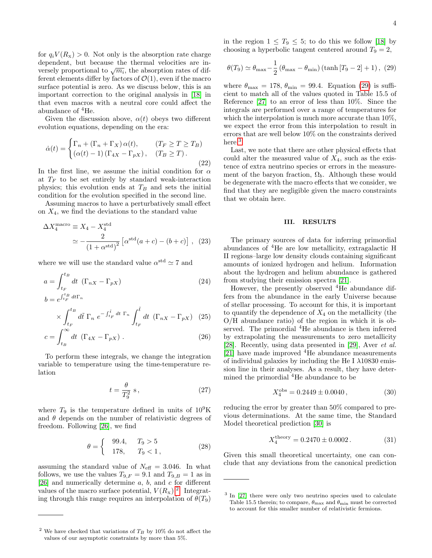for  $q_i V(R_x) > 0$ . Not only is the absorption rate charge dependent, but because the thermal velocities are independent, but because the thermal velocities are in-<br>versely proportional to  $\sqrt{m_i}$ , the absorption rates of different elements differ by factors of  $\mathcal{O}(1)$ , even if the macro surface potential is zero. As we discuss below, this is an important correction to the original analysis in [\[18\]](#page-5-8) in that even macros with a neutral core could affect the abundance of  ${}^{4}{\rm He}.$ 

Given the discussion above,  $\alpha(t)$  obeys two different evolution equations, depending on the era:

$$
\dot{\alpha}(t) = \begin{cases} \Gamma_n + (\Gamma_n + \Gamma_X) \alpha(t), & (T_F \ge T \ge T_B) \\ (\alpha(t) - 1) (\Gamma_{4X} - \Gamma_{pX}), & (T_B \ge T). \end{cases}
$$
\n(22)

In the first line, we assume the initial condition for  $\alpha$ at  $T_F$  to be set entirely by standard weak-interaction physics; this evolution ends at  $T_B$  and sets the initial condition for the evolution specified in the second line.

Assuming macros to have a perturbatively small effect on  $X_4$ , we find the deviations to the standard value

$$
\Delta X_4^{\text{macro}} \equiv X_4 - X_4^{\text{std}}
$$
  

$$
\simeq -\frac{2}{(1+\alpha^{\text{std}})^2} \left[ \alpha^{\text{std}}(a+c) - (b+c) \right], \quad (23)
$$

where we will use the standard value  $\alpha^{\text{std}} \simeq 7$  and

$$
a = \int_{t_F}^{t_B} dt \, (\Gamma_{nX} - \Gamma_{pX})
$$
  
\n
$$
b = e^{\int_{t_F}^{t_B} dt \Gamma_n}
$$
\n(24)

$$
\times \int_{t_F}^{t_B} d\tilde{t} \Gamma_n e^{-\int_{t_F}^{\tilde{t}} dt \Gamma_n} \int_{t_F}^{\tilde{t}} dt \ (\Gamma_{nX} - \Gamma_{pX}) \tag{25}
$$

$$
c = \int_{t_B}^{\infty} dt \, (\Gamma_{4X} - \Gamma_{pX}) \,. \tag{26}
$$

To perform these integrals, we change the integration variable to temperature using the time-temperature relation

$$
t = \frac{\theta}{T_9^2} \text{ s},\tag{27}
$$

where  $T_9$  is the temperature defined in units of  $10^9$ K and  $\theta$  depends on the number of relativistic degrees of freedom. Following [\[26\]](#page-5-16), we find

$$
\theta = \begin{cases} 99.4, & T_9 > 5 \\ 178, & T_9 < 1, \end{cases}
$$
 (28)

assuming the standard value of  $N_{\text{eff}} = 3.046$ . In what follows, we use the values  $T_{9,F} = 9.1$  and  $T_{9,B} = 1$  as in [\[26\]](#page-5-16) and numerically determine  $a, b,$  and  $c$  for different values of the macro surface potential,  $V(R_{\rm x})^2$  $V(R_{\rm x})^2$ . Integrating through this range requires an interpolation of  $\theta(T_9)$ 

in the region  $1 \leq T_9 \leq 5$ ; to do this we follow [\[18\]](#page-5-8) by choosing a hyperbolic tangent centered around  $T_9 = 2$ ,

<span id="page-3-1"></span>
$$
\theta(T_9) \simeq \theta_{\text{max}} - \frac{1}{2} \left( \theta_{\text{max}} - \theta_{\text{min}} \right) \left( \tanh\left[T_9 - 2\right] + 1 \right), \tag{29}
$$

where  $\theta_{\text{max}} = 178$ ,  $\theta_{\text{min}} = 99.4$ . Equation [\(29\)](#page-3-1) is sufficient to match all of the values quoted in Table 15.5 of Reference [\[27\]](#page-5-17) to an error of less than 10%. Since the integrals are performed over a range of temperatures for which the interpolation is much more accurate than 10%, we expect the error from this interpolation to result in errors that are well below 10% on the constraints derived here.<sup>[3](#page-3-2)</sup>

Last, we note that there are other physical effects that could alter the measured value of  $X_4$ , such as the existence of extra neutrino species or errors in the measurement of the baryon fraction,  $\Omega_b$ . Although these would be degenerate with the macro effects that we consider, we find that they are negligible given the macro constraints that we obtain here.

# III. RESULTS

<span id="page-3-3"></span>The primary sources of data for inferring primordial abundances of <sup>4</sup>He are low metallicity, extragalactic H II regions–large low density clouds containing significant amounts of ionized hydrogen and helium. Information about the hydrogen and helium abundance is gathered from studying their emission spectra [\[21\]](#page-5-11).

However, the presently observed <sup>4</sup>He abundance differs from the abundance in the early Universe because of stellar processing. To account for this, it is important to quantify the dependence of  $X_4$  on the metallicity (the O/H abundance ratio) of the region in which it is observed. The primordial <sup>4</sup>He abundance is then inferred by extrapolating the measurements to zero metallicity [\[28\]](#page-5-18). Recently, using data presented in [\[29\]](#page-5-19), Aver et al.  $[21]$  have made improved  ${}^{4}$ He abundance measurements of individual galaxies by including the He I  $\lambda$ 10830 emission line in their analyses. As a result, they have determined the primordial <sup>4</sup>He abundance to be

$$
X_4^{\text{obs}} = 0.2449 \pm 0.0040, \tag{30}
$$

reducing the error by greater than 50% compared to previous determinations. At the same time, the Standard Model theoretical prediction [\[30\]](#page-5-20) is

$$
X_4^{\text{theory}} = 0.2470 \pm 0.0002. \tag{31}
$$

Given this small theoretical uncertainty, one can conclude that any deviations from the canonical prediction

<span id="page-3-0"></span> $^2$  We have checked that variations of  $T_B$  by 10% do not affect the values of our asymptotic constraints by more than 5%.

<span id="page-3-2"></span><sup>&</sup>lt;sup>3</sup> In [\[27\]](#page-5-17) there were only two neutrino species used to calculate Table 15.5 therein; to compare,  $\theta_{\rm max}$  and  $\theta_{\rm min}$  must be corrected to account for this smaller number of relativistic fermions.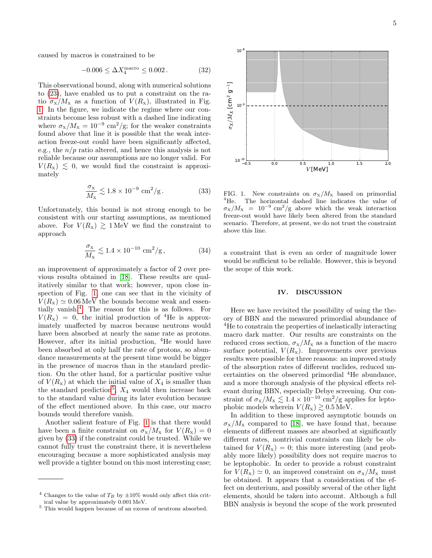caused by macros is constrained to be

$$
-0.006 \le \Delta X_4^{\text{macro}} \le 0.002. \tag{32}
$$

This observational bound, along with numerical solutions to [\(23\)](#page-3-3), have enabled us to put a constraint on the ratio  $\sigma_{\rm x}/M_{\rm x}$  as a function of  $V(R_{\rm x})$ , illustrated in Fig. [1.](#page-4-0) In the figure, we indicate the regime where our constraints become less robust with a dashed line indicating where  $\sigma_{\rm x}/M_{\rm x} = 10^{-9}$  cm<sup>2</sup>/g; for the weaker constraints found above that line it is possible that the weak interaction freeze-out could have been significantly affected, e.g., the  $n/p$  ratio altered, and hence this analysis is not reliable because our assumptions are no longer valid. For  $V(R_{\rm x}) \leq 0$ , we would find the constraint is approximately

<span id="page-4-3"></span>
$$
\frac{\sigma_{\rm x}}{M_{\rm x}} \lesssim 1.8 \times 10^{-9} \text{ cm}^2/\text{g}.
$$
 (33)

Unfortunately, this bound is not strong enough to be consistent with our starting assumptions, as mentioned above. For  $V(R_{\rm x}) \gtrsim 1 \,{\rm MeV}$  we find the constraint to approach

$$
\frac{\sigma_{\rm x}}{M_{\rm x}} \lesssim 1.4 \times 10^{-10} \text{ cm}^2/\text{g},\tag{34}
$$

an improvement of approximately a factor of 2 over previous results obtained in [\[18\]](#page-5-8). These results are qualitatively similar to that work; however, upon close inspection of Fig. [1,](#page-4-0) one can see that in the vicinity of  $V(R_{x}) \simeq 0.06 \,\text{MeV}$  the bounds become weak and essentially vanish.[4](#page-4-1) The reason for this is as follows. For  $V(R_{\rm x}) = 0$ , the initial production of <sup>4</sup>He is approximately unaffected by macros because neutrons would have been absorbed at nearly the same rate as protons. However, after its initial production, <sup>4</sup>He would have been absorbed at only half the rate of protons, so abundance measurements at the present time would be bigger in the presence of macros than in the standard prediction. On the other hand, for a particular positive value of  $V(R_X)$  at which the initial value of  $X_4$  is smaller than the standard prediction<sup>[5](#page-4-2)</sup>,  $X_4$  would then increase back to the standard value during its later evolution because of the effect mentioned above. In this case, our macro bounds would therefore vanish.

Another salient feature of Fig. [1](#page-4-0) is that there would have been a finite constraint on  $\sigma_{\rm x}/M_{\rm x}$  for  $V(R_{\rm x})=0$ given by [\(33\)](#page-4-3) if the constraint could be trusted. While we cannot fully trust the constraint there, it is nevertheless encouraging because a more sophisticated analysis may well provide a tighter bound on this most interesting case;



<span id="page-4-0"></span>FIG. 1. New constraints on  $\sigma_X/M_X$  based on primordial <sup>4</sup>He. The horizontal dashed line indicates the value of  $\sigma_X/M_X = 10^{-9}$  cm<sup>2</sup>/g above which the weak interaction freeze-out would have likely been altered from the standard scenario. Therefore, at present, we do not trust the constraint above this line.

a constraint that is even an order of magnitude lower would be sufficient to be reliable. However, this is beyond the scope of this work.

# IV. DISCUSSION

Here we have revisited the possibility of using the theory of BBN and the measured primordial abundance of <sup>4</sup>He to constrain the properties of inelastically interacting macro dark matter. Our results are constraints on the reduced cross section,  $\sigma_{\rm x}/M_{\rm x}$  as a function of the macro surface potential,  $V(R_{\rm x})$ . Improvements over previous results were possible for three reasons: an improved study of the absorption rates of different nuclides, reduced uncertainties on the observed primordial <sup>4</sup>He abundance, and a more thorough analysis of the physical effects relevant during BBN, especially Debye screening. Our constraint of  $\sigma_{\rm x}/M_{\rm x} \lesssim 1.4 \times 10^{-10}$  cm<sup>2</sup>/g applies for leptophobic models wherein  $V(R_{\rm x}) \gtrsim 0.5 \,\text{MeV}$ .

In addition to these improved asymptotic bounds on  $\sigma_{\rm x}/M_{\rm x}$  compared to [\[18\]](#page-5-8), we have found that, because elements of different masses are absorbed at significantly different rates, nontrivial constraints can likely be obtained for  $V(R_x) = 0$ ; this more interesting (and probably more likely) possibility does not require macros to be leptophobic. In order to provide a robust constraint for  $V(R_{\rm x}) \simeq 0$ , an improved constraint on  $\sigma_{\rm x}/M_{\rm x}$  must be obtained. It appears that a consideration of the effect on deuterium, and possibly several of the other light elements, should be taken into account. Although a full BBN analysis is beyond the scope of the work presented

<span id="page-4-1"></span><sup>&</sup>lt;sup>4</sup> Changes to the value of  $T_B$  by  $\pm 10\%$  would only affect this critical value by approximately 0.001 MeV.

<span id="page-4-2"></span><sup>5</sup> This would happen because of an excess of neutrons absorbed.